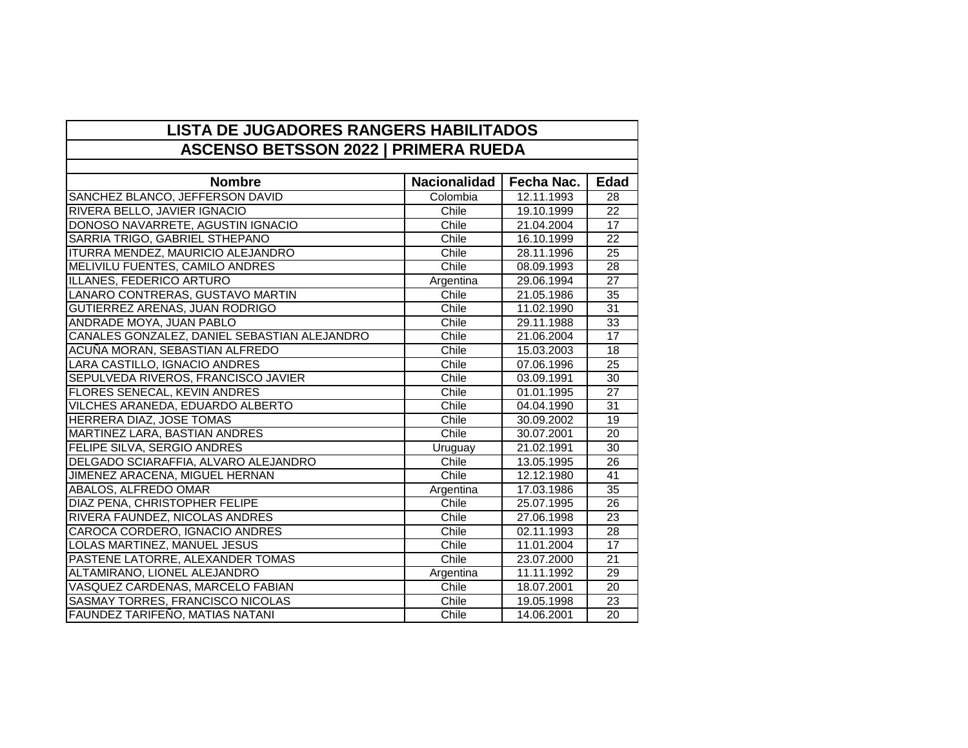| <b>LISTA DE JUGADORES RANGERS HABILITADOS</b> |                     |            |                 |  |  |
|-----------------------------------------------|---------------------|------------|-----------------|--|--|
| <b>ASCENSO BETSSON 2022   PRIMERA RUEDA</b>   |                     |            |                 |  |  |
|                                               |                     |            |                 |  |  |
| <b>Nombre</b>                                 | <b>Nacionalidad</b> | Fecha Nac. | <b>Edad</b>     |  |  |
| SANCHEZ BLANCO, JEFFERSON DAVID               | Colombia            | 12.11.1993 | 28              |  |  |
| RIVERA BELLO, JAVIER IGNACIO                  | Chile               | 19.10.1999 | $\overline{22}$ |  |  |
| DONOSO NAVARRETE, AGUSTIN IGNACIO             | Chile               | 21.04.2004 | 17              |  |  |
| SARRIA TRIGO, GABRIEL STHEPANO                | Chile               | 16.10.1999 | $\overline{22}$ |  |  |
| ITURRA MENDEZ, MAURICIO ALEJANDRO             | Chile               | 28.11.1996 | 25              |  |  |
| MELIVILU FUENTES, CAMILO ANDRES               | Chile               | 08.09.1993 | 28              |  |  |
| ILLANES, FEDERICO ARTURO                      | Argentina           | 29.06.1994 | $\overline{27}$ |  |  |
| LANARO CONTRERAS, GUSTAVO MARTIN              | Chile               | 21.05.1986 | $\overline{35}$ |  |  |
| GUTIERREZ ARENAS, JUAN RODRIGO                | Chile               | 11.02.1990 | $\overline{31}$ |  |  |
| ANDRADE MOYA, JUAN PABLO                      | Chile               | 29.11.1988 | $\overline{33}$ |  |  |
| CANALES GONZALEZ, DANIEL SEBASTIAN ALEJANDRO  | Chile               | 21.06.2004 | 17              |  |  |
| ACUÑA MORAN, SEBASTIAN ALFREDO                | Chile               | 15.03.2003 | 18              |  |  |
| LARA CASTILLO, IGNACIO ANDRES                 | Chile               | 07.06.1996 | 25              |  |  |
| SEPULVEDA RIVEROS, FRANCISCO JAVIER           | Chile               | 03.09.1991 | 30              |  |  |
| FLORES SENECAL, KEVIN ANDRES                  | Chile               | 01.01.1995 | $\overline{27}$ |  |  |
| VILCHES ARANEDA, EDUARDO ALBERTO              | Chile               | 04.04.1990 | 31              |  |  |
| HERRERA DIAZ, JOSE TOMAS                      | Chile               | 30.09.2002 | $\overline{19}$ |  |  |
| MARTINEZ LARA, BASTIAN ANDRES                 | Chile               | 30.07.2001 | $\overline{20}$ |  |  |
| FELIPE SILVA, SERGIO ANDRES                   | Uruguay             | 21.02.1991 | 30              |  |  |
| DELGADO SCIARAFFIA, ALVARO ALEJANDRO          | Chile               | 13.05.1995 | 26              |  |  |
| JIMENEZ ARACENA, MIGUEL HERNAN                | Chile               | 12.12.1980 | 41              |  |  |
| ABALOS, ALFREDO OMAR                          | Argentina           | 17.03.1986 | 35              |  |  |
| DIAZ PENA, CHRISTOPHER FELIPE                 | Chile               | 25.07.1995 | 26              |  |  |
| RIVERA FAUNDEZ, NICOLAS ANDRES                | Chile               | 27.06.1998 | $\overline{23}$ |  |  |
| CAROCA CORDERO, IGNACIO ANDRES                | Chile               | 02.11.1993 | $\overline{28}$ |  |  |
| LOLAS MARTINEZ, MANUEL JESUS                  | Chile               | 11.01.2004 | 17              |  |  |
| PASTENE LATORRE, ALEXANDER TOMAS              | Chile               | 23.07.2000 | $\overline{21}$ |  |  |
| ALTAMIRANO, LIONEL ALEJANDRO                  | Argentina           | 11.11.1992 | $\overline{29}$ |  |  |
| VASQUEZ CARDENAS, MARCELO FABIAN              | Chile               | 18.07.2001 | $\overline{20}$ |  |  |
| SASMAY TORRES, FRANCISCO NICOLAS              | Chile               | 19.05.1998 | 23              |  |  |
| <b>FAUNDEZ TARIFEÑO, MATIAS NATANI</b>        | Chile               | 14.06.2001 | 20              |  |  |

 $\overline{\phantom{0}}$ 

 $\Gamma$